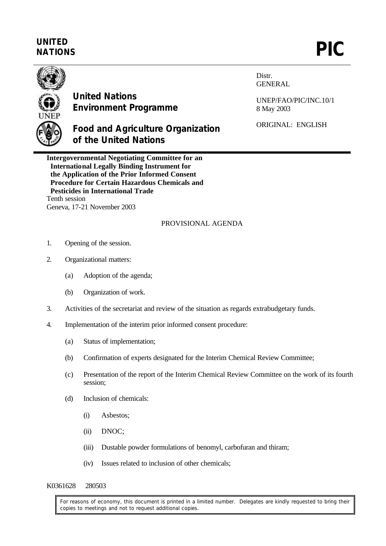## **UNITED** UNITED<br>NATIONS **PIC**



## **United Nations Environment Programme**

**Food and Agriculture Organization**

Distr. GENERAL

UNEP/FAO/PIC/INC.10/1 8 May 2003

ORIGINAL: ENGLISH

**Intergovernmental Negotiating Committee for an International Legally Binding Instrument for the Application of the Prior Informed Consent Procedure for Certain Hazardous Chemicals and Pesticides in International Trade** Tenth session Geneva, 17-21 November 2003

**of the United Nations**

## PROVISIONAL AGENDA

- 1. Opening of the session.
- 2. Organizational matters:
	- (a) Adoption of the agenda;
	- (b) Organization of work.
- 3. Activities of the secretariat and review of the situation as regards extrabudgetary funds.
- 4. Implementation of the interim prior informed consent procedure:
	- (a) Status of implementation;
	- (b) Confirmation of experts designated for the Interim Chemical Review Committee;
	- (c) Presentation of the report of the Interim Chemical Review Committee on the work of its fourth session;
	- (d) Inclusion of chemicals:
		- (i) Asbestos;
		- (ii) DNOC;
		- (iii) Dustable powder formulations of benomyl, carbofuran and thiram;
		- (iv) Issues related to inclusion of other chemicals;

## K0361628 280503

For reasons of economy, this document is printed in a limited number. Delegates are kindly requested to bring their copies to meetings and not to request additional copies.